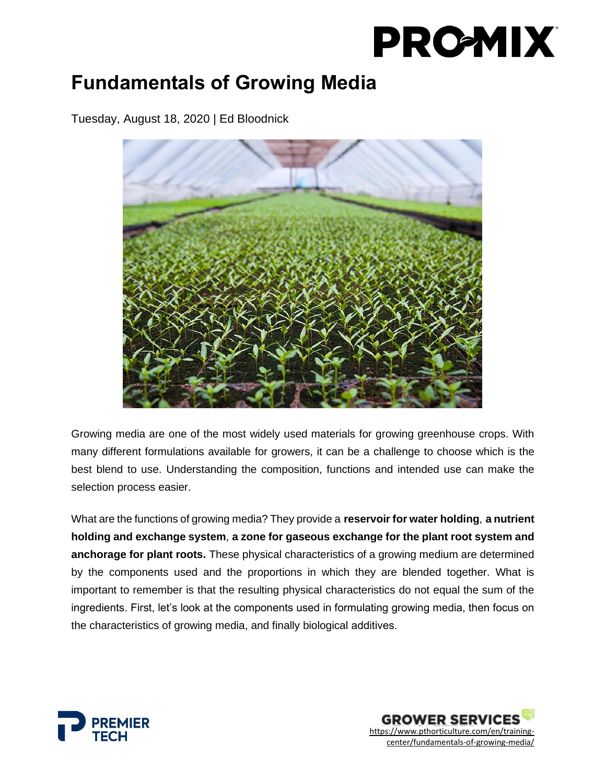### **Fundamentals of Growing Media**

Tuesday, August 18, 2020 | Ed Bloodnick



Growing media are one of the most widely used materials for growing greenhouse crops. With many different formulations available for growers, it can be a challenge to choose which is the best blend to use. Understanding the composition, functions and intended use can make the selection process easier.

What are the functions of growing media? They provide a **reservoir for water holding**, **a nutrient holding and exchange system**, **a zone for gaseous exchange for the plant root system and anchorage for plant roots.** These physical characteristics of a growing medium are determined by the components used and the proportions in which they are blended together. What is important to remember is that the resulting physical characteristics do not equal the sum of the ingredients. First, let's look at the components used in formulating growing media, then focus on the characteristics of growing media, and finally biological additives. 



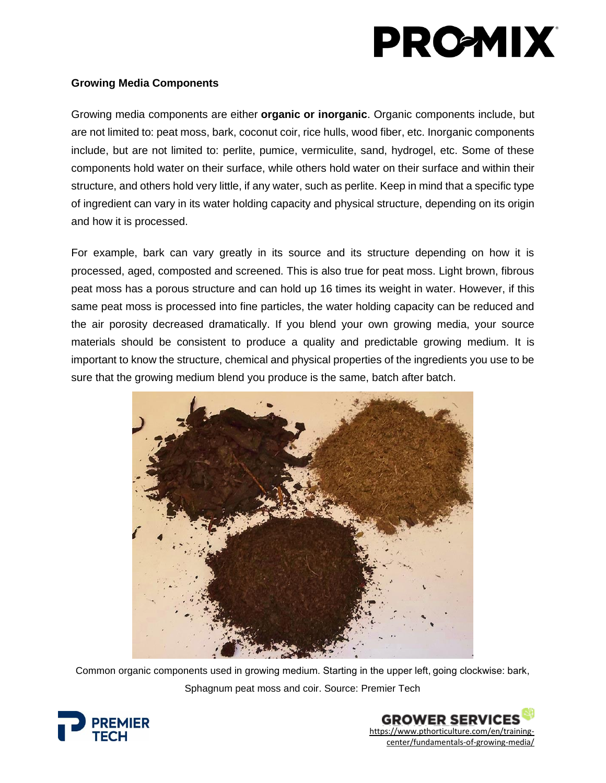#### **Growing Media Components**

Growing media components are either **organic or inorganic**. Organic components include, but are not limited to: peat moss, bark, coconut coir, rice hulls, wood fiber, etc. Inorganic components include, but are not limited to: perlite, pumice, vermiculite, sand, hydrogel, etc. Some of these components hold water on their surface, while others hold water on their surface and within their structure, and others hold very little, if any water, such as perlite. Keep in mind that a specific type of ingredient can vary in its water holding capacity and physical structure, depending on its origin and how it is processed.

For example, bark can vary greatly in its source and its structure depending on how it is processed, aged, composted and screened. This is also true for peat moss. Light brown, fibrous peat moss has a porous structure and can hold up 16 times its weight in water. However, if this same peat moss is processed into fine particles, the water holding capacity can be reduced and the air porosity decreased dramatically. If you blend your own growing media, your source materials should be consistent to produce a quality and predictable growing medium. It is important to know the structure, chemical and physical properties of the ingredients you use to be sure that the growing medium blend you produce is the same, batch after batch.



Common organic components used in growing medium. Starting in the upper left, going clockwise: bark, Sphagnum peat moss and coir. Source: Premier Tech



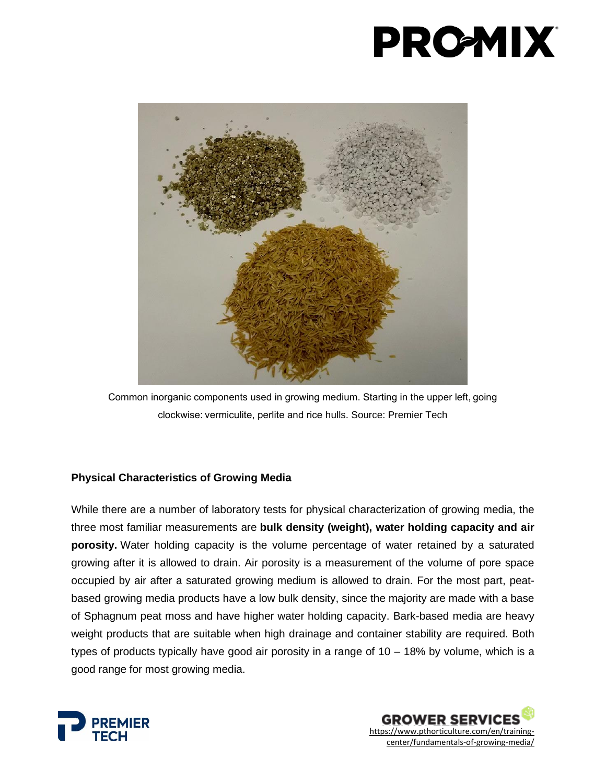

Common inorganic components used in growing medium. Starting in the upper left, going clockwise: vermiculite, perlite and rice hulls. Source: Premier Tech

#### **Physical Characteristics of Growing Media**

While there are a number of laboratory tests for physical characterization of growing media, the three most familiar measurements are **bulk density (weight), water holding capacity and air porosity.** Water holding capacity is the volume percentage of water retained by a saturated growing after it is allowed to drain. Air porosity is a measurement of the volume of pore space occupied by air after a saturated growing medium is allowed to drain. For the most part, peatbased growing media products have a low bulk density, since the majority are made with a base of Sphagnum peat moss and have higher water holding capacity. Bark-based media are heavy weight products that are suitable when high drainage and container stability are required. Both types of products typically have good air porosity in a range of 10 – 18% by volume, which is a good range for most growing media.



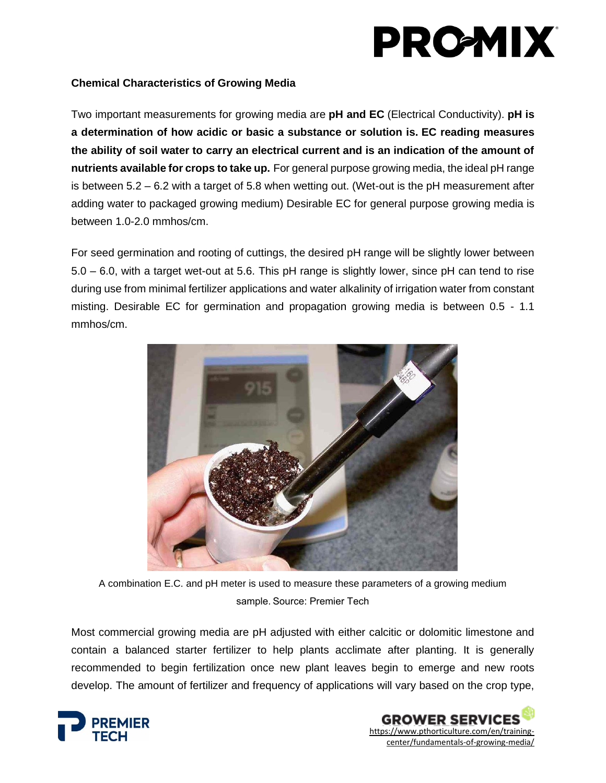#### **Chemical Characteristics of Growing Media**

Two important measurements for growing media are **pH and EC** (Electrical Conductivity). **pH is a determination of how acidic or basic a substance or solution is. EC reading measures the ability of soil water to carry an electrical current and is an indication of the amount of nutrients available for crops to take up.** For general purpose growing media, the ideal pH range is between 5.2 – 6.2 with a target of 5.8 when wetting out. (Wet-out is the pH measurement after adding water to packaged growing medium) Desirable EC for general purpose growing media is between 1.0-2.0 mmhos/cm.

For seed germination and rooting of cuttings, the desired pH range will be slightly lower between 5.0 – 6.0, with a target wet-out at 5.6. This pH range is slightly lower, since pH can tend to rise during use from minimal fertilizer applications and water alkalinity of irrigation water from constant misting. Desirable EC for germination and propagation growing media is between 0.5 - 1.1 mmhos/cm.



A combination E.C. and pH meter is used to measure these parameters of a growing medium sample. Source: Premier Tech

Most commercial growing media are pH adjusted with either calcitic or dolomitic limestone and contain a balanced starter fertilizer to help plants acclimate after planting. It is generally recommended to begin fertilization once new plant leaves begin to emerge and new roots develop. The amount of fertilizer and frequency of applications will vary based on the crop type,



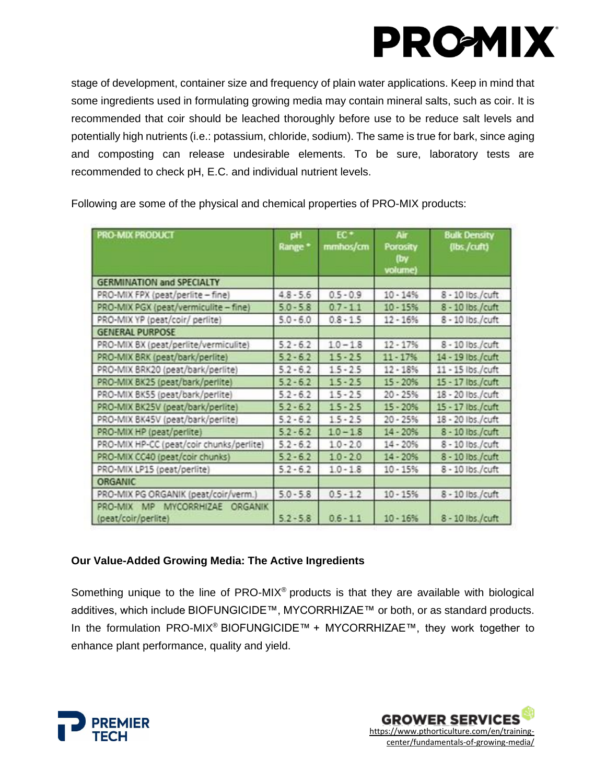stage of development, container size and frequency of plain water applications. Keep in mind that some ingredients used in formulating growing media may contain mineral salts, such as coir. It is recommended that coir should be leached thoroughly before use to be reduce salt levels and potentially high nutrients (i.e.: potassium, chloride, sodium). The same is true for bark, since aging and composting can release undesirable elements. To be sure, laboratory tests are recommended to check pH, E.C. and individual nutrient levels.

| <b>PRO-MIX PRODUCT</b>                                   | pH<br>Range <sup>*</sup> | $EC +$<br>mmhos/cm | Air<br>Porosity<br>(by<br>volume) | <b>Bulk Density</b><br>(lbs./cuft) |
|----------------------------------------------------------|--------------------------|--------------------|-----------------------------------|------------------------------------|
| <b>GERMINATION and SPECIALTY</b>                         |                          |                    |                                   |                                    |
| PRO-MIX FPX (peat/perlite - fine)                        | $4.8 - 5.6$              | $0.5 - 0.9$        | $10 - 14%$                        | 8 - 10 lbs./cuft                   |
| PRO-MIX PGX (peat/vermiculite - fine)                    | $5.0 - 5.8$              | $0.7 - 1.1$        | $10 - 15%$                        | 8 - 10 lbs./cuft                   |
| PRO-MIX YP (peat/coir/ perlite)                          | $5.0 - 6.0$              | $0.8 - 1.5$        | $12 - 16%$                        | 8 - 10 lbs./cuft                   |
| <b>GENERAL PURPOSE</b>                                   |                          |                    |                                   |                                    |
| PRO-MIX BX (peat/perlite/vermiculite)                    | $5.2 - 6.2$              | $1.0 - 1.8$        | $12 - 17%$                        | 8 - 10 lbs./cuft                   |
| PRO-MIX BRK (peat/bark/perlite)                          | $5.2 - 6.2$              | $15 - 2.5$         | $11 - 17%$                        | 14 - 19 lbs./cuft                  |
| PRO-MIX BRK20 (peat/bark/perlite)                        | $5.2 - 6.2$              | $1.5 - 2.5$        | $12 - 18%$                        | 11 - 15 lbs./cuft                  |
| PRO-MIX BK25 (peat/bark/perlite)                         | $5.2 - 6.2$              | $1.5 - 2.5$        | $15 - 20%$                        | 15 - 17 lbs / cuft                 |
| PRO-MIX BK55 (peat/bark/perlite)                         | $5.2 - 6.2$              | $1.5 - 2.5$        | $20 - 25%$                        | 18 - 20 lbs./cuft                  |
| PRO-MIX BK25V (peat/bark/perlite)                        | $5.2 - 6.2$              | $1.5 - 2.5$        | $15 - 20%$                        | 15 - 17 lbs./cuft                  |
| PRO-MIX BK45V (peat/bark/perlite)                        | $5.2 - 6.2$              | $1.5 - 2.5$        | $20 - 25%$                        | 18 - 20 lbs./cuft                  |
| PRO-MIX HP (peat/perlite)                                | $5.2 - 6.2$              | $1.0 - 1.8$        | $14 - 20%$                        | 8 - 10 lbs / cuft                  |
| PRO-MIX HP-CC (peat/coir chunks/perlite)                 | $5.2 - 6.2$              | $1.0 - 2.0$        | $14 - 20%$                        | 8 - 10 lbs./cuft                   |
| PRO-MIX CC40 (peat/coir chunks)                          | $5.2 - 6.2$              | $1.0 - 2.0$        | $14 - 20%$                        | 8 - 10 lbs./cuft                   |
| PRO-MIX LP15 (peat/perlite)                              | $5.2 - 6.2$              | $1.0 - 1.8$        | $10 - 15%$                        | 8 - 10 lbs./cuft                   |
| <b>ORGANIC</b>                                           |                          |                    |                                   |                                    |
| PRO-MIX PG ORGANIK (peat/coir/verm.)                     | $5.0 - 5.8$              | $0.5 - 1.2$        | $10 - 15%$                        | 8 - 10 lbs./cuft                   |
| MYCORRHIZAE ORGANIK<br>PRO-MIX MP<br>(peat/coir/perlite) | $5.2 - 5.8$              | $0.6 - 1.1$        | $10 - 16%$                        | 8 - 10 lbs./cuft                   |

Following are some of the physical and chemical properties of PRO-MIX products:

### **Our Value-Added Growing Media: The Active Ingredients**

Something unique to the line of PRO-MIX® products is that they are available with biological additives, which include BIOFUNGICIDE™, MYCORRHIZAE™ or both, or as standard products. In the formulation PRO-MIX® BIOFUNGICIDE™ + MYCORRHIZAE™, they work together to enhance plant performance, quality and yield.